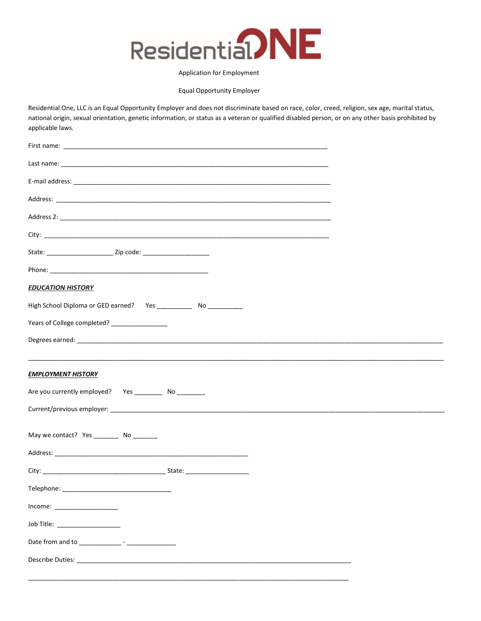

## Application for Employment

Equal Opportunity Employer

Residential One, LLC is an Equal Opportunity Employer and does not discriminate based on race, color, creed, religion, sex age, marital status, national origin, sexual orientation, genetic information, or status as a veteran or qualified disabled person, or on any other basis prohibited by applicable laws.

| <b>EDUCATION HISTORY</b>                                       |
|----------------------------------------------------------------|
|                                                                |
| Years of College completed? _________________                  |
|                                                                |
|                                                                |
| <b>EMPLOYMENT HISTORY</b>                                      |
| Are you currently employed?  Yes ______________ No ___________ |
|                                                                |
| May we contact? Yes __________ No ________                     |
|                                                                |
|                                                                |
| Telephone:                                                     |
|                                                                |
|                                                                |
| Job Title: __________________                                  |
|                                                                |
|                                                                |
|                                                                |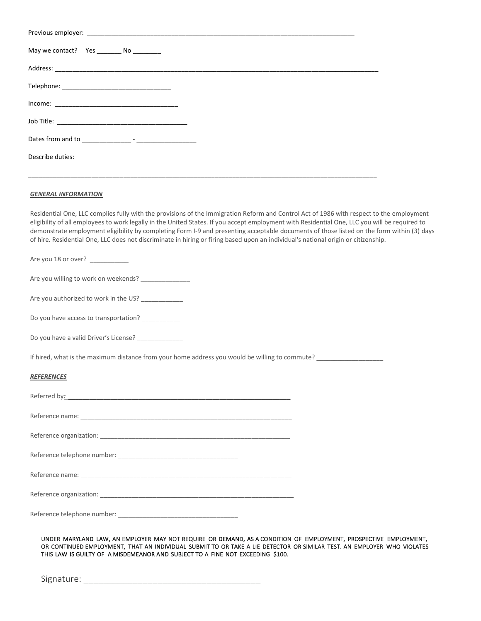| May we contact? Yes _________ No _________                                                                                               |
|------------------------------------------------------------------------------------------------------------------------------------------|
|                                                                                                                                          |
|                                                                                                                                          |
|                                                                                                                                          |
|                                                                                                                                          |
|                                                                                                                                          |
|                                                                                                                                          |
|                                                                                                                                          |
| <b>GENERAL INFORMATION</b>                                                                                                               |
| Residential One, LLC complies fully with the provisions of the Immigration Reform and Control Act of 1986 with respect to the employment |

eligibility of all employees to work legally in the United States. If you accept employment with Residential One, LLC you will be required to demonstrate employment eligibility by completing Form I-9 and presenting acceptable documents of those listed on the form within (3) days of hire. Residential One, LLC does not discriminate in hiring or firing based upon an individual's national origin or citizenship.

Are you 18 or over? \_\_\_\_\_\_\_\_\_\_\_\_

Are you willing to work on weekends? \_\_\_\_\_\_\_\_\_\_\_\_

Are you authorized to work in the US? \_\_\_\_\_\_\_\_\_\_\_\_

Do you have access to transportation? \_\_\_\_\_\_\_\_\_\_\_\_

Do you have a valid Driver's License? \_\_\_\_\_\_\_\_\_\_\_\_\_

If hired, what is the maximum distance from your home address you would be willing to commute? \_\_\_\_\_\_\_\_\_\_\_\_\_\_

## *REFERENCES*

| Referred by: Network Changes and Changes and Changes and Changes and Changes and Changes and Changes and Changes and Changes and Changes and Changes and Changes and Changes and Changes and Changes and Changes and Changes a |
|--------------------------------------------------------------------------------------------------------------------------------------------------------------------------------------------------------------------------------|
|                                                                                                                                                                                                                                |
|                                                                                                                                                                                                                                |
|                                                                                                                                                                                                                                |
|                                                                                                                                                                                                                                |
|                                                                                                                                                                                                                                |
| Reference telephone number:                                                                                                                                                                                                    |

UNDER MARYLAND LAW, AN EMPLOYER MAY NOT REQUIRE OR DEMAND, AS A CONDITION OF EMPLOYMENT, PROSPECTIVE EMPLOYMENT, OR CONTINUED EMPLOYMENT, THAT AN INDIVIDUAL SUBMIT TO OR TAKE A LIE DETECTOR OR SIMILAR TEST. AN EMPLOYER WHO VIOLATES THIS LAW IS GUILTY OF A MISDEMEANOR AND SUBJECT TO A FINE NOT EXCEEDING \$100.

Signature: \_\_\_\_\_\_\_\_\_\_\_\_\_\_\_\_\_\_\_\_\_\_\_\_\_\_\_\_\_\_\_\_\_\_\_\_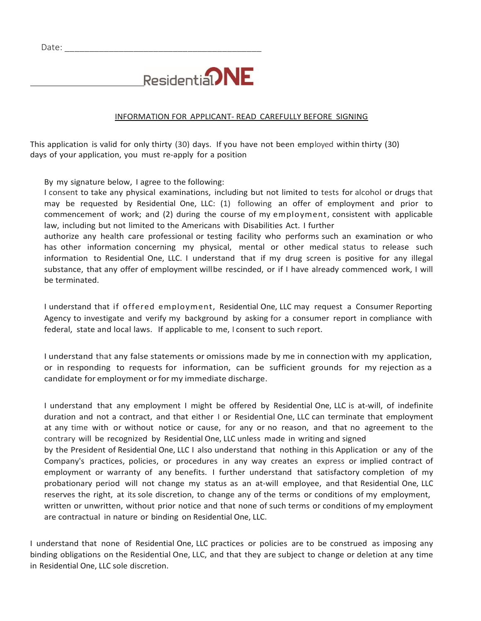$\overline{a}$ 



## INFORMATION FOR APPLICANT- READ CAREFULLY BEFORE SIGNING

This application is valid for only thirty (30) days. If you have not been employed within thirty (30) days of your application, you must re-apply for a position

By my signature below, I agree to the following:

I consent to take any physical examinations, including but not limited to tests for alcohol or drugs that may be requested by Residential One, LLC: (1) following an offer of employment and prior to commencement of work; and (2) during the course of my employment, consistent with applicable law, including but not limited to the Americans with Disabilities Act. I further

authorize any health care professional or testing facility who performs such an examination or who has other information concerning my physical, mental or other medical status to release such information to Residential One, LLC. I understand that if my drug screen is positive for any illegal substance, that any offer of employment willbe rescinded, or if I have already commenced work, I will be terminated.

I understand that if offered employment, Residential One, LLC may request a Consumer Reporting Agency to investigate and verify my background by asking for a consumer report in compliance with federal, state and local laws. If applicable to me, I consent to such report.

I understand that any false statements or omissions made by me in connection with my application, or in responding to requests for information, can be sufficient grounds for my rejection as a candidate for employment or for my immediate discharge.

I understand that any employment I might be offered by Residential One, LLC is at-will, of indefinite duration and not a contract, and that either I or Residential One, LLC can terminate that employment at any time with or without notice or cause, for any or no reason, and that no agreement to the contrary will be recognized by Residential One, LLC unless made in writing and signed

by the President of Residential One, LLC I also understand that nothing in this Application or any of the Company's practices, policies, or procedures in any way creates an express or implied contract of employment or warranty of any benefits. I further understand that satisfactory completion of my probationary period will not change my status as an at-will employee, and that Residential One, LLC reserves the right, at its sole discretion, to change any of the terms or conditions of my employment, written or unwritten, without prior notice and that none of such terms or conditions of my employment are contractual in nature or binding on Residential One, LLC.

I understand that none of Residential One, LLC practices or policies are to be construed as imposing any binding obligations on the Residential One, LLC, and that they are subject to change or deletion at any time in Residential One, LLC sole discretion.